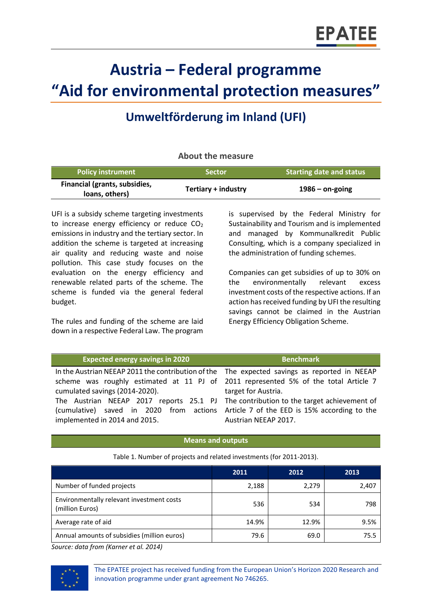# **Austria – Federal programme "Aid for environmental protection measures"**

# **Umweltförderung im Inland (UFI)**

# **About the measure**

| <b>Policy instrument</b>                        | <b>Sector</b>       | <b>Starting date and status</b> |
|-------------------------------------------------|---------------------|---------------------------------|
| Financial (grants, subsidies,<br>loans, others) | Tertiary + industry | $1986 -$ on-going               |

UFI is a subsidy scheme targeting investments to increase energy efficiency or reduce  $CO<sub>2</sub>$ emissions in industry and the tertiary sector. In addition the scheme is targeted at increasing air quality and reducing waste and noise pollution. This case study focuses on the evaluation on the energy efficiency and renewable related parts of the scheme. The scheme is funded via the general federal budget.

The rules and funding of the scheme are laid down in a respective Federal Law. The program is supervised by the Federal Ministry for Sustainability and Tourism and is implemented and managed by Kommunalkredit Public Consulting, which is a company specialized in the administration of funding schemes.

Companies can get subsidies of up to 30% on the environmentally relevant excess investment costs of the respective actions. If an action has received funding by UFI the resulting savings cannot be claimed in the Austrian Energy Efficiency Obligation Scheme.

| <b>Expected energy savings in 2020</b>                                                       | <b>Benchmark</b>     |  |
|----------------------------------------------------------------------------------------------|----------------------|--|
| In the Austrian NEEAP 2011 the contribution of the The expected savings as reported in NEEAP |                      |  |
| scheme was roughly estimated at 11 PJ of 2011 represented 5% of the total Article 7          |                      |  |
| cumulated savings (2014-2020).                                                               | target for Austria.  |  |
| The Austrian NEEAP 2017 reports 25.1 PJ The contribution to the target achievement of        |                      |  |
| (cumulative) saved in 2020 from actions Article 7 of the EED is 15% according to the         |                      |  |
| implemented in 2014 and 2015.                                                                | Austrian NEEAP 2017. |  |

# **Means and outputs**

Table 1. Number of projects and related investments (for 2011-2013).

|                                                              | 2011  | 2012  | 2013  |
|--------------------------------------------------------------|-------|-------|-------|
| Number of funded projects                                    | 2,188 | 2,279 | 2,407 |
| Environmentally relevant investment costs<br>(million Euros) | 536   | 534   | 798   |
| Average rate of aid                                          | 14.9% | 12.9% | 9.5%  |
| Annual amounts of subsidies (million euros)                  | 79.6  | 69.0  | 75.5  |

*Source: data from (Karner et al. 2014)*



The EPATEE project has received funding from the European Union's Horizon 2020 Research and innovation programme under grant agreement No 746265.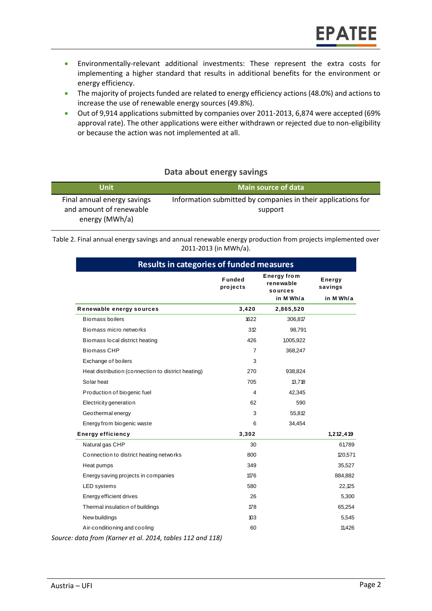- Environmentally-relevant additional investments: These represent the extra costs for implementing a higher standard that results in additional benefits for the environment or energy efficiency.
- The majority of projects funded are related to energy efficiency actions (48.0%) and actions to increase the use of renewable energy sources (49.8%).
- Out of 9,914 applications submitted by companies over 2011-2013, 6,874 were accepted (69% approval rate). The other applications were either withdrawn or rejected due to non-eligibility or because the action was not implemented at all.

# **Data about energy savings**

| Unit                                                                     | <b>Main source of data</b>                                              |
|--------------------------------------------------------------------------|-------------------------------------------------------------------------|
| Final annual energy savings<br>and amount of renewable<br>energy (MWh/a) | Information submitted by companies in their applications for<br>support |

Table 2. Final annual energy savings and annual renewable energy production from projects implemented over 2011-2013 (in MWh/a).

| <b>Results in categories of funded measures</b>    |                            |                                            |                          |
|----------------------------------------------------|----------------------------|--------------------------------------------|--------------------------|
|                                                    | <b>Funded</b><br>pro jects | <b>Energy from</b><br>renewable<br>sources | <b>Energy</b><br>savings |
|                                                    |                            | in M Wh/a                                  | in M Wh/a                |
| Renewable energy sources                           | 3,420                      | 2,865,520                                  |                          |
| Biomass boilers                                    | 1622                       | 306,817                                    |                          |
| Biomass micro networks                             | 312                        | 98,791                                     |                          |
| Biomass local district heating                     | 426                        | 1,005,922                                  |                          |
| <b>Biomass CHP</b>                                 | 7                          | 368,247                                    |                          |
| Exchange of boilers                                | 3                          |                                            |                          |
| Heat distribution (connection to district heating) | 270                        | 938,824                                    |                          |
| Solar heat                                         | 705                        | 13,718                                     |                          |
| Production of biogenic fuel                        | 4                          | 42,345                                     |                          |
| Electricity generation                             | 62                         | 590                                        |                          |
| Geothermal energy                                  | 3                          | 55,812                                     |                          |
| Energy from biogenic waste                         | 6                          | 34,454                                     |                          |
| <b>Energy efficiency</b>                           | 3,302                      |                                            | 1, 212, 419              |
| Natural gas CHP                                    | 30                         |                                            | 61,789                   |
| Connection to district heating networks            | 800                        |                                            | 120,571                  |
| Heat pumps                                         | 349                        |                                            | 35,527                   |
| Energy saving projects in companies                | 1176                       |                                            | 884,882                  |
| LED systems                                        | 580                        |                                            | 22,125                   |
| Energy efficient drives                            | 26                         |                                            | 5,300                    |
| Thermal insulation of buildings                    | 178                        |                                            | 65,254                   |
| New buildings                                      | 103                        |                                            | 5,545                    |
| Air-conditioning and cooling                       | 60                         |                                            | 11,426                   |

*Source: data from (Karner et al. 2014, tables 112 and 118)*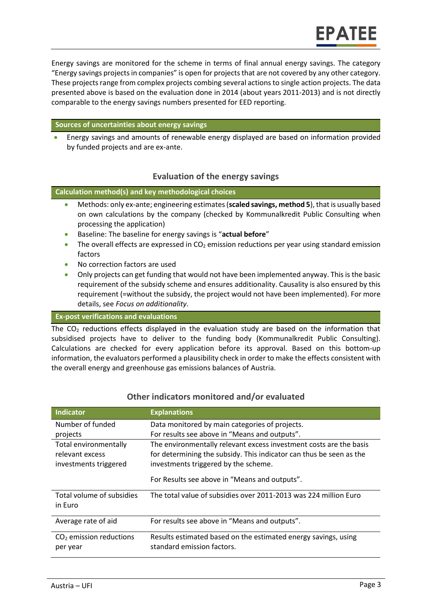Energy savings are monitored for the scheme in terms of final annual energy savings. The category "Energy savings projects in companies" is open for projects that are not covered by any other category. These projects range from complex projects combing several actions to single action projects. The data presented above is based on the evaluation done in 2014 (about years 2011-2013) and is not directly comparable to the energy savings numbers presented for EED reporting.

#### **Sources of uncertainties about energy savings**

 Energy savings and amounts of renewable energy displayed are based on information provided by funded projects and are ex-ante.

# **Evaluation of the energy savings**

**Calculation method(s) and key methodological choices**

- Methods: only ex-ante; engineering estimates (**scaled savings, method 5**), that is usually based on own calculations by the company (checked by Kommunalkredit Public Consulting when processing the application)
- Baseline: The baseline for energy savings is "**actual before**"
- The overall effects are expressed in  $CO<sub>2</sub>$  emission reductions per year using standard emission factors
- No correction factors are used
- Only projects can get funding that would not have been implemented anyway. This is the basic requirement of the subsidy scheme and ensures additionality. Causality is also ensured by this requirement (=without the subsidy, the project would not have been implemented). For more details, see *Focus on additionality*.

#### **Ex-post verifications and evaluations**

The  $CO<sub>2</sub>$  reductions effects displayed in the evaluation study are based on the information that subsidised projects have to deliver to the funding body (Kommunalkredit Public Consulting). Calculations are checked for every application before its approval. Based on this bottom-up information, the evaluators performed a plausibility check in order to make the effects consistent with the overall energy and greenhouse gas emissions balances of Austria.

| <b>Indicator</b>                         | <b>Explanations</b>                                                                                         |
|------------------------------------------|-------------------------------------------------------------------------------------------------------------|
| Number of funded                         | Data monitored by main categories of projects.                                                              |
| projects                                 | For results see above in "Means and outputs".                                                               |
| Total environmentally<br>relevant excess | The environmentally relevant excess investment costs are the basis                                          |
| investments triggered                    | for determining the subsidy. This indicator can thus be seen as the<br>investments triggered by the scheme. |
|                                          | For Results see above in "Means and outputs".                                                               |
| Total volume of subsidies<br>in Euro     | The total value of subsidies over 2011-2013 was 224 million Euro                                            |
| Average rate of aid                      | For results see above in "Means and outputs".                                                               |
| $CO2$ emission reductions<br>per year    | Results estimated based on the estimated energy savings, using<br>standard emission factors.                |

#### **Other indicators monitored and/or evaluated**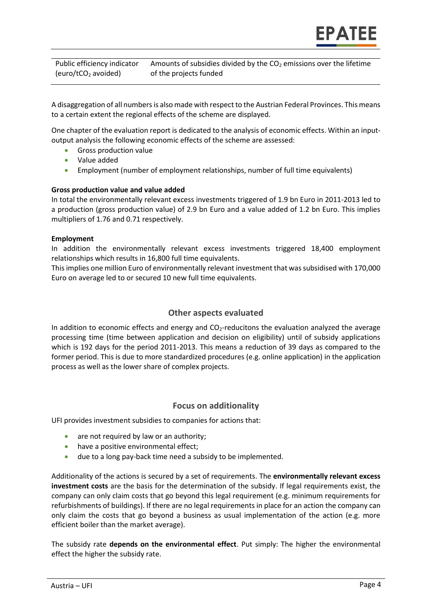Public efficiency indicator (euro/tCO<sup>2</sup> avoided) Amounts of subsidies divided by the  $CO<sub>2</sub>$  emissions over the lifetime of the projects funded

A disaggregation of all numbers is also made with respect to the Austrian Federal Provinces. This means to a certain extent the regional effects of the scheme are displayed.

One chapter of the evaluation report is dedicated to the analysis of economic effects. Within an inputoutput analysis the following economic effects of the scheme are assessed:

- Gross production value
- Value added
- Employment (number of employment relationships, number of full time equivalents)

#### **Gross production value and value added**

In total the environmentally relevant excess investments triggered of 1.9 bn Euro in 2011-2013 led to a production (gross production value) of 2.9 bn Euro and a value added of 1.2 bn Euro. This implies multipliers of 1.76 and 0.71 respectively.

#### **Employment**

In addition the environmentally relevant excess investments triggered 18,400 employment relationships which results in 16,800 full time equivalents.

This implies one million Euro of environmentally relevant investment that was subsidised with 170,000 Euro on average led to or secured 10 new full time equivalents.

# **Other aspects evaluated**

In addition to economic effects and energy and  $CO<sub>2</sub>$ -reducitons the evaluation analyzed the average processing time (time between application and decision on eligibility) until of subsidy applications which is 192 days for the period 2011-2013. This means a reduction of 39 days as compared to the former period. This is due to more standardized procedures (e.g. online application) in the application process as well as the lower share of complex projects.

# **Focus on additionality**

UFI provides investment subsidies to companies for actions that:

- are not required by law or an authority;
- have a positive environmental effect;
- due to a long pay-back time need a subsidy to be implemented.

Additionality of the actions is secured by a set of requirements. The **environmentally relevant excess investment costs** are the basis for the determination of the subsidy. If legal requirements exist, the company can only claim costs that go beyond this legal requirement (e.g. minimum requirements for refurbishments of buildings). If there are no legal requirements in place for an action the company can only claim the costs that go beyond a business as usual implementation of the action (e.g. more efficient boiler than the market average).

The subsidy rate **depends on the environmental effect**. Put simply: The higher the environmental effect the higher the subsidy rate.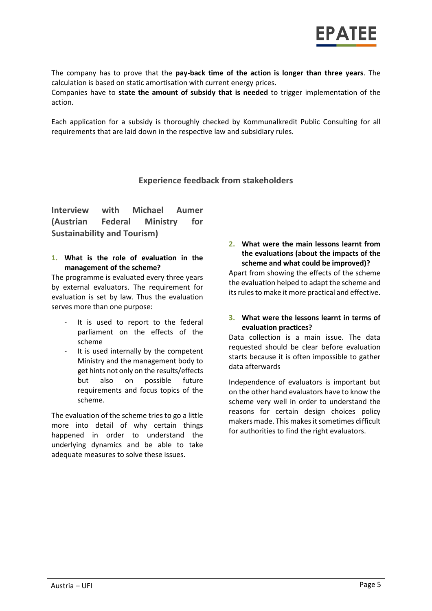The company has to prove that the **pay-back time of the action is longer than three years**. The calculation is based on static amortisation with current energy prices.

Companies have to **state the amount of subsidy that is needed** to trigger implementation of the action.

Each application for a subsidy is thoroughly checked by Kommunalkredit Public Consulting for all requirements that are laid down in the respective law and subsidiary rules.

# **Experience feedback from stakeholders**

**Interview with Michael Aumer (Austrian Federal Ministry for Sustainability and Tourism)**

**1. What is the role of evaluation in the management of the scheme?**

The programme is evaluated every three years by external evaluators. The requirement for evaluation is set by law. Thus the evaluation serves more than one purpose:

- It is used to report to the federal parliament on the effects of the scheme
- It is used internally by the competent Ministry and the management body to get hints not only on the results/effects but also on possible future requirements and focus topics of the scheme.

The evaluation of the scheme tries to go a little more into detail of why certain things happened in order to understand the underlying dynamics and be able to take adequate measures to solve these issues.

**2. What were the main lessons learnt from the evaluations (about the impacts of the scheme and what could be improved)?**

Apart from showing the effects of the scheme the evaluation helped to adapt the scheme and its rules to make it more practical and effective.

**3. What were the lessons learnt in terms of evaluation practices?**

Data collection is a main issue. The data requested should be clear before evaluation starts because it is often impossible to gather data afterwards

Independence of evaluators is important but on the other hand evaluators have to know the scheme very well in order to understand the reasons for certain design choices policy makers made. This makes it sometimes difficult for authorities to find the right evaluators.